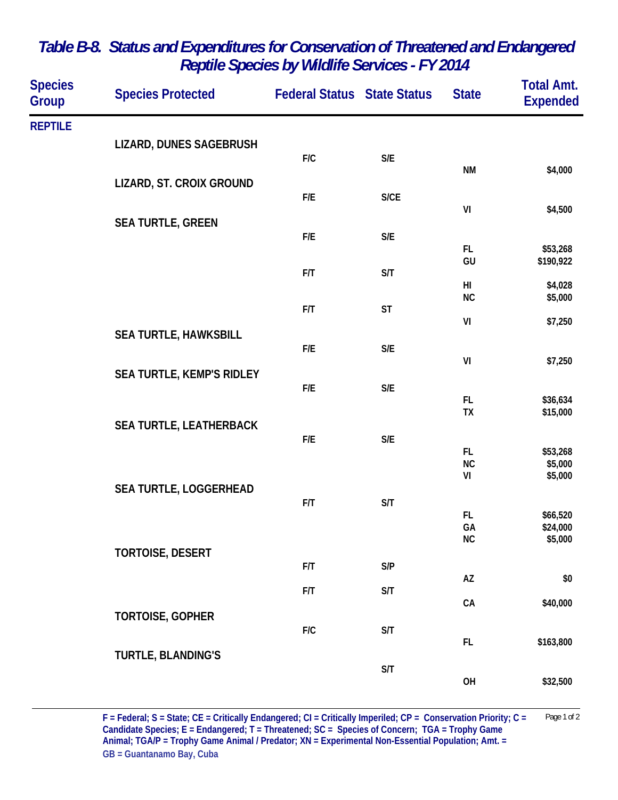| <b>Species</b><br>Group | <b>Species Protected</b>  | <b>Federal Status State Status</b> |                         | <b>State</b>    | <b>Total Amt.</b><br><b>Expended</b> |
|-------------------------|---------------------------|------------------------------------|-------------------------|-----------------|--------------------------------------|
| <b>REPTILE</b>          |                           |                                    |                         |                 |                                      |
|                         | LIZARD, DUNES SAGEBRUSH   | F/C                                | $\mathsf{S}/\mathsf{E}$ |                 |                                      |
|                         | LIZARD, ST. CROIX GROUND  |                                    |                         | <b>NM</b>       | \$4,000                              |
|                         |                           | F/E                                | S/CE                    | VI              |                                      |
|                         | <b>SEA TURTLE, GREEN</b>  |                                    |                         |                 | \$4,500                              |
|                         |                           | F/E                                | $\mathsf{S}/\mathsf{E}$ | FL              | \$53,268                             |
|                         |                           | F/T                                | S/T                     | GU              | \$190,922                            |
|                         |                           |                                    |                         | HI<br>NC        | \$4,028<br>\$5,000                   |
|                         |                           | F/T                                | <b>ST</b>               | VI              | \$7,250                              |
|                         | SEA TURTLE, HAWKSBILL     | F/E                                | $\mathsf{S}/\mathsf{E}$ |                 |                                      |
|                         | SEA TURTLE, KEMP'S RIDLEY |                                    |                         | VI              | \$7,250                              |
|                         |                           | F/E                                | $\mathsf{S}/\mathsf{E}$ | FL.             | \$36,634                             |
|                         | SEA TURTLE, LEATHERBACK   |                                    |                         | <b>TX</b>       | \$15,000                             |
|                         |                           | F/E                                | $\mathsf{S}/\mathsf{E}$ | FL.             |                                      |
|                         |                           |                                    |                         | <b>NC</b><br>VI | \$53,268<br>\$5,000<br>\$5,000       |
|                         | SEA TURTLE, LOGGERHEAD    |                                    |                         |                 |                                      |
|                         |                           | F/T                                | S/T                     | FL.             | \$66,520                             |
|                         |                           |                                    |                         | GA<br>NC        | \$24,000<br>\$5,000                  |
|                         | <b>TORTOISE, DESERT</b>   | F/T                                | S/P                     |                 |                                      |
|                         |                           | F/T                                | S/T                     | AZ              | \$0                                  |
|                         | <b>TORTOISE, GOPHER</b>   |                                    |                         | ${\sf CA}$      | \$40,000                             |
|                         |                           | F/C                                | S/T                     | FL.             | \$163,800                            |
|                         | <b>TURTLE, BLANDING'S</b> |                                    | S/T                     |                 |                                      |
|                         |                           |                                    |                         | OH              | \$32,500                             |

## *Table B-8. Status and Expenditures for Conservation of Threatened and Endangered Reptile Species by Wildlife Services - FY 2014*

**F = Federal; S = State; CE = Critically Endangered; CI = Critically Imperiled; CP = Conservation Priority; C =** Page 1 of 2 **Candidate Species; E = Endangered; T = Threatened; SC = Species of Concern; TGA = Trophy Game Animal; TGA/P = Trophy Game Animal / Predator; XN = Experimental Non-Essential Population; Amt. = GB = Guantanamo Bay, Cuba**